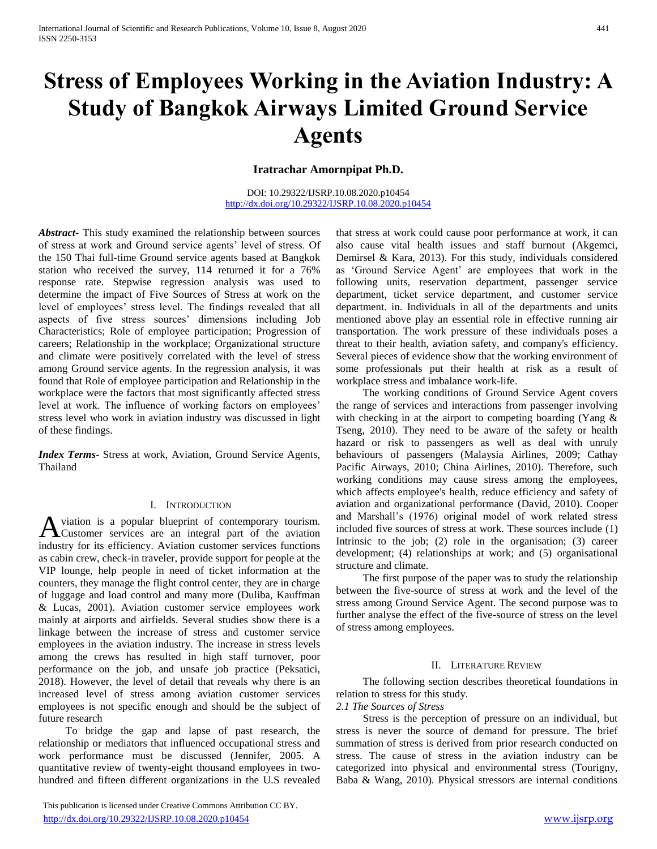# **Stress of Employees Working in the Aviation Industry: A Study of Bangkok Airways Limited Ground Service Agents**

# **Iratrachar Amornpipat Ph.D.**

DOI: 10.29322/IJSRP.10.08.2020.p10454 <http://dx.doi.org/10.29322/IJSRP.10.08.2020.p10454>

*Abstract***-** This study examined the relationship between sources of stress at work and Ground service agents' level of stress. Of the 150 Thai full-time Ground service agents based at Bangkok station who received the survey, 114 returned it for a 76% response rate. Stepwise regression analysis was used to determine the impact of Five Sources of Stress at work on the level of employees' stress level. The findings revealed that all aspects of five stress sources' dimensions including Job Characteristics; Role of employee participation; Progression of careers; Relationship in the workplace; Organizational structure and climate were positively correlated with the level of stress among Ground service agents. In the regression analysis, it was found that Role of employee participation and Relationship in the workplace were the factors that most significantly affected stress level at work. The influence of working factors on employees' stress level who work in aviation industry was discussed in light of these findings.

*Index Terms*- Stress at work, Aviation, Ground Service Agents, Thailand

#### I. INTRODUCTION

viation is a popular blueprint of contemporary tourism. A viation is a popular blueprint of contemporary tourism.<br>Customer services are an integral part of the aviation industry for its efficiency. Aviation customer services functions as cabin crew, check-in traveler, provide support for people at the VIP lounge, help people in need of ticket information at the counters, they manage the flight control center, they are in charge of luggage and load control and many more (Duliba, Kauffman & Lucas, 2001). Aviation customer service employees work mainly at airports and airfields. Several studies show there is a linkage between the increase of stress and customer service employees in the aviation industry. The increase in stress levels among the crews has resulted in high staff turnover, poor performance on the job, and unsafe job practice (Peksatici, 2018). However, the level of detail that reveals why there is an increased level of stress among aviation customer services employees is not specific enough and should be the subject of future research

 To bridge the gap and lapse of past research, the relationship or mediators that influenced occupational stress and work performance must be discussed (Jennifer, 2005. A quantitative review of twenty-eight thousand employees in twohundred and fifteen different organizations in the U.S revealed

 This publication is licensed under Creative Commons Attribution CC BY. <http://dx.doi.org/10.29322/IJSRP.10.08.2020.p10454> [www.ijsrp.org](http://ijsrp.org/)

that stress at work could cause poor performance at work, it can also cause vital health issues and staff burnout (Akgemci, Demirsel & Kara, 2013). For this study, individuals considered as 'Ground Service Agent' are employees that work in the following units, reservation department, passenger service department, ticket service department, and customer service department. in. Individuals in all of the departments and units mentioned above play an essential role in effective running air transportation. The work pressure of these individuals poses a threat to their health, aviation safety, and company's efficiency. Several pieces of evidence show that the working environment of some professionals put their health at risk as a result of workplace stress and imbalance work-life.

 The working conditions of Ground Service Agent covers the range of services and interactions from passenger involving with checking in at the airport to competing boarding (Yang & Tseng, 2010). They need to be aware of the safety or health hazard or risk to passengers as well as deal with unruly behaviours of passengers (Malaysia Airlines, 2009; Cathay Pacific Airways, 2010; China Airlines, 2010). Therefore, such working conditions may cause stress among the employees, which affects employee's health, reduce efficiency and safety of aviation and organizational performance (David, 2010). Cooper and Marshall's (1976) original model of work related stress included five sources of stress at work. These sources include (1) Intrinsic to the job; (2) role in the organisation; (3) career development; (4) relationships at work; and (5) organisational structure and climate.

 The first purpose of the paper was to study the relationship between the five-source of stress at work and the level of the stress among Ground Service Agent. The second purpose was to further analyse the effect of the five-source of stress on the level of stress among employees.

#### II. LITERATURE REVIEW

 The following section describes theoretical foundations in relation to stress for this study.

## *2.1 The Sources of Stress*

 Stress is the perception of pressure on an individual, but stress is never the source of demand for pressure. The brief summation of stress is derived from prior research conducted on stress. The cause of stress in the aviation industry can be categorized into physical and environmental stress (Tourigny, Baba & Wang, 2010). Physical stressors are internal conditions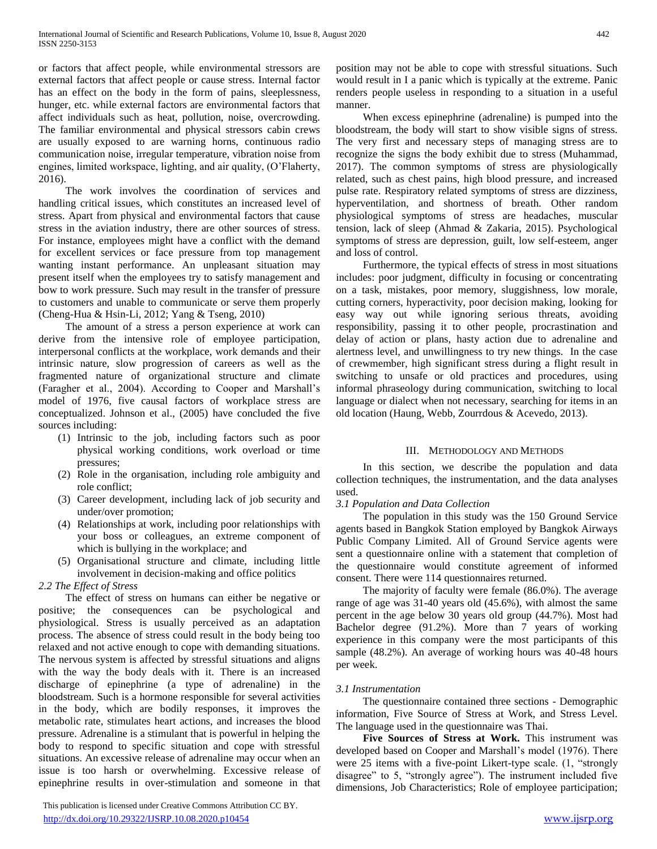or factors that affect people, while environmental stressors are external factors that affect people or cause stress. Internal factor has an effect on the body in the form of pains, sleeplessness, hunger, etc. while external factors are environmental factors that affect individuals such as heat, pollution, noise, overcrowding. The familiar environmental and physical stressors cabin crews are usually exposed to are warning horns, continuous radio communication noise, irregular temperature, vibration noise from engines, limited workspace, lighting, and air quality, (O'Flaherty, 2016).

 The work involves the coordination of services and handling critical issues, which constitutes an increased level of stress. Apart from physical and environmental factors that cause stress in the aviation industry, there are other sources of stress. For instance, employees might have a conflict with the demand for excellent services or face pressure from top management wanting instant performance. An unpleasant situation may present itself when the employees try to satisfy management and bow to work pressure. Such may result in the transfer of pressure to customers and unable to communicate or serve them properly (Cheng-Hua & Hsin-Li, 2012; Yang & Tseng, 2010)

 The amount of a stress a person experience at work can derive from the intensive role of employee participation, interpersonal conflicts at the workplace, work demands and their intrinsic nature, slow progression of careers as well as the fragmented nature of organizational structure and climate (Faragher et al., 2004). According to Cooper and Marshall's model of 1976, five causal factors of workplace stress are conceptualized. Johnson et al., (2005) have concluded the five sources including:

- (1) Intrinsic to the job, including factors such as poor physical working conditions, work overload or time pressures;
- (2) Role in the organisation, including role ambiguity and role conflict;
- (3) Career development, including lack of job security and under/over promotion;
- (4) Relationships at work, including poor relationships with your boss or colleagues, an extreme component of which is bullying in the workplace; and
- (5) Organisational structure and climate, including little involvement in decision-making and office politics

# *2.2 The Effect of Stress*

 The effect of stress on humans can either be negative or positive; the consequences can be psychological and physiological. Stress is usually perceived as an adaptation process. The absence of stress could result in the body being too relaxed and not active enough to cope with demanding situations. The nervous system is affected by stressful situations and aligns with the way the body deals with it. There is an increased discharge of epinephrine (a type of adrenaline) in the bloodstream. Such is a hormone responsible for several activities in the body, which are bodily responses, it improves the metabolic rate, stimulates heart actions, and increases the blood pressure. Adrenaline is a stimulant that is powerful in helping the body to respond to specific situation and cope with stressful situations. An excessive release of adrenaline may occur when an issue is too harsh or overwhelming. Excessive release of epinephrine results in over-stimulation and someone in that

 This publication is licensed under Creative Commons Attribution CC BY. <http://dx.doi.org/10.29322/IJSRP.10.08.2020.p10454> [www.ijsrp.org](http://ijsrp.org/)

position may not be able to cope with stressful situations. Such would result in I a panic which is typically at the extreme. Panic renders people useless in responding to a situation in a useful manner.

 When excess epinephrine (adrenaline) is pumped into the bloodstream, the body will start to show visible signs of stress. The very first and necessary steps of managing stress are to recognize the signs the body exhibit due to stress (Muhammad, 2017). The common symptoms of stress are physiologically related, such as chest pains, high blood pressure, and increased pulse rate. Respiratory related symptoms of stress are dizziness, hyperventilation, and shortness of breath. Other random physiological symptoms of stress are headaches, muscular tension, lack of sleep (Ahmad & Zakaria, 2015). Psychological symptoms of stress are depression, guilt, low self-esteem, anger and loss of control.

 Furthermore, the typical effects of stress in most situations includes: poor judgment, difficulty in focusing or concentrating on a task, mistakes, poor memory, sluggishness, low morale, cutting corners, hyperactivity, poor decision making, looking for easy way out while ignoring serious threats, avoiding responsibility, passing it to other people, procrastination and delay of action or plans, hasty action due to adrenaline and alertness level, and unwillingness to try new things. In the case of crewmember, high significant stress during a flight result in switching to unsafe or old practices and procedures, using informal phraseology during communication, switching to local language or dialect when not necessary, searching for items in an old location (Haung, Webb, Zourrdous & Acevedo, 2013).

# III. METHODOLOGY AND METHODS

 In this section, we describe the population and data collection techniques, the instrumentation, and the data analyses used.

# *3.1 Population and Data Collection*

 The population in this study was the 150 Ground Service agents based in Bangkok Station employed by Bangkok Airways Public Company Limited. All of Ground Service agents were sent a questionnaire online with a statement that completion of the questionnaire would constitute agreement of informed consent. There were 114 questionnaires returned.

 The majority of faculty were female (86.0%). The average range of age was 31-40 years old (45.6%), with almost the same percent in the age below 30 years old group (44.7%). Most had Bachelor degree (91.2%). More than 7 years of working experience in this company were the most participants of this sample (48.2%). An average of working hours was 40-48 hours per week.

# *3.1 Instrumentation*

 The questionnaire contained three sections - Demographic information, Five Source of Stress at Work, and Stress Level. The language used in the questionnaire was Thai.

 **Five Sources of Stress at Work.** This instrument was developed based on Cooper and Marshall's model (1976). There were 25 items with a five-point Likert-type scale. (1, "strongly disagree" to 5, "strongly agree"). The instrument included five dimensions, Job Characteristics; Role of employee participation;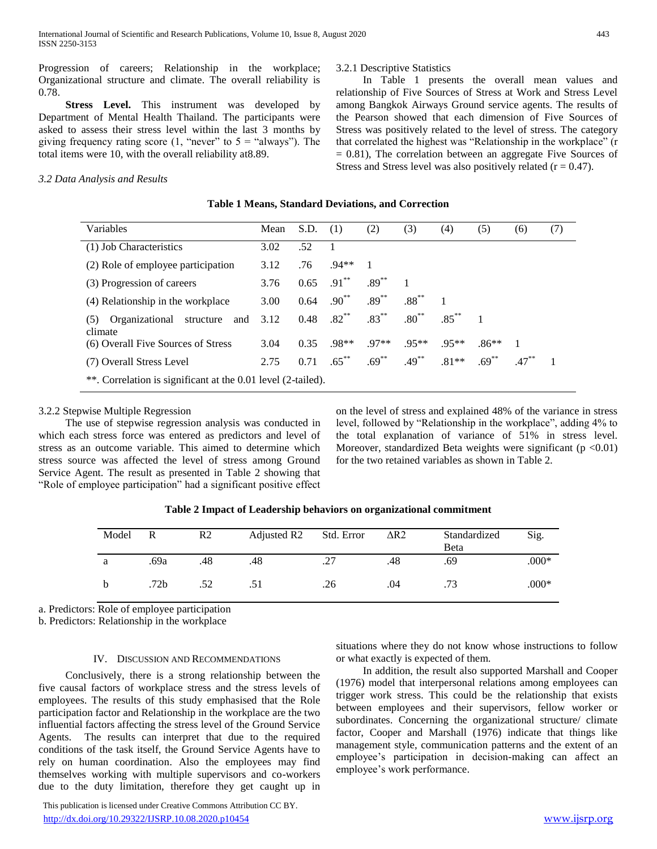Progression of careers; Relationship in the workplace; Organizational structure and climate. The overall reliability is 0.78.

 **Stress Level.** This instrument was developed by Department of Mental Health Thailand. The participants were asked to assess their stress level within the last 3 months by giving frequency rating score (1, "never" to  $5 =$  "always"). The total items were 10, with the overall reliability at8.89.

# *3.2 Data Analysis and Results*

# 3.2.1 Descriptive Statistics

 In Table 1 presents the overall mean values and relationship of Five Sources of Stress at Work and Stress Level among Bangkok Airways Ground service agents. The results of the Pearson showed that each dimension of Five Sources of Stress was positively related to the level of stress. The category that correlated the highest was "Relationship in the workplace" (r = 0.81), The correlation between an aggregate Five Sources of Stress and Stress level was also positively related  $(r = 0.47)$ .

| Variables                                                    | Mean | S.D. | (1)                      | (2)            | (3)      | (4)      | (5)      | (6)            | (7) |
|--------------------------------------------------------------|------|------|--------------------------|----------------|----------|----------|----------|----------------|-----|
| (1) Job Characteristics                                      | 3.02 | .52  | -1                       |                |          |          |          |                |     |
| (2) Role of employee participation                           | 3.12 | .76  | $.94**$                  | $\overline{1}$ |          |          |          |                |     |
| (3) Progression of careers                                   | 3.76 |      | $0.65$ .91 <sup>**</sup> | $.89***$       |          |          |          |                |     |
| (4) Relationship in the workplace                            | 3.00 | 0.64 | $.90^{**}$               | $.89***$       | $.88***$ |          |          |                |     |
| Organizational structure and<br>(5)<br>climate               | 3.12 |      | $0.48$ .82 <sup>**</sup> | $.83***$       | $.80***$ | $.85***$ |          |                |     |
| (6) Overall Five Sources of Stress                           | 3.04 | 0.35 | $.98**$                  | $.97**$        | $.95**$  | $.95**$  | $.86**$  | $\blacksquare$ |     |
| (7) Overall Stress Level                                     | 2.75 | 0.71 | $.65***$                 | $.69***$       | $.49***$ | $.81**$  | $.69***$ | $.47***$       |     |
| **. Correlation is significant at the 0.01 level (2-tailed). |      |      |                          |                |          |          |          |                |     |

**Table 1 Means, Standard Deviations, and Correction**

#### 3.2.2 Stepwise Multiple Regression

 The use of stepwise regression analysis was conducted in which each stress force was entered as predictors and level of stress as an outcome variable. This aimed to determine which stress source was affected the level of stress among Ground Service Agent. The result as presented in Table 2 showing that "Role of employee participation" had a significant positive effect on the level of stress and explained 48% of the variance in stress level, followed by "Relationship in the workplace", adding 4% to the total explanation of variance of 51% in stress level. Moreover, standardized Beta weights were significant  $(p \le 0.01)$ for the two retained variables as shown in Table 2.

| Model | R                | R <sub>2</sub> | Adjusted R2 | Std. Error | $\Delta R2$ | Standardized<br>Beta | Sig.    |
|-------|------------------|----------------|-------------|------------|-------------|----------------------|---------|
| a     | .69a             | .48            | .48         | .27        | .48         | .69                  | $.000*$ |
|       | .72 <sub>b</sub> | .52            | .51         | .26        | .04         | .73                  | $.000*$ |

**Table 2 Impact of Leadership behaviors on organizational commitment**

a. Predictors: Role of employee participation

b. Predictors: Relationship in the workplace

# IV. DISCUSSION AND RECOMMENDATIONS

 Conclusively, there is a strong relationship between the five causal factors of workplace stress and the stress levels of employees. The results of this study emphasised that the Role participation factor and Relationship in the workplace are the two influential factors affecting the stress level of the Ground Service Agents. The results can interpret that due to the required conditions of the task itself, the Ground Service Agents have to rely on human coordination. Also the employees may find themselves working with multiple supervisors and co-workers due to the duty limitation, therefore they get caught up in

 This publication is licensed under Creative Commons Attribution CC BY. <http://dx.doi.org/10.29322/IJSRP.10.08.2020.p10454> [www.ijsrp.org](http://ijsrp.org/)

situations where they do not know whose instructions to follow or what exactly is expected of them.

 In addition, the result also supported Marshall and Cooper (1976) model that interpersonal relations among employees can trigger work stress. This could be the relationship that exists between employees and their supervisors, fellow worker or subordinates. Concerning the organizational structure/ climate factor, Cooper and Marshall (1976) indicate that things like management style, communication patterns and the extent of an employee's participation in decision-making can affect an employee's work performance.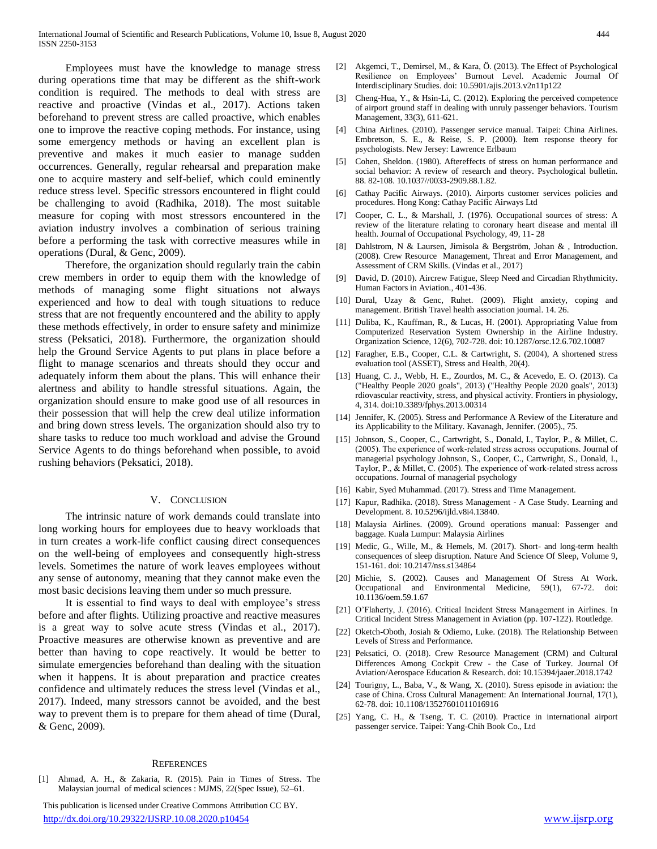Employees must have the knowledge to manage stress during operations time that may be different as the shift-work condition is required. The methods to deal with stress are reactive and proactive (Vindas et al., 2017). Actions taken beforehand to prevent stress are called proactive, which enables one to improve the reactive coping methods. For instance, using some emergency methods or having an excellent plan is preventive and makes it much easier to manage sudden occurrences. Generally, regular rehearsal and preparation make one to acquire mastery and self-belief, which could eminently reduce stress level. Specific stressors encountered in flight could be challenging to avoid (Radhika, 2018). The most suitable measure for coping with most stressors encountered in the aviation industry involves a combination of serious training before a performing the task with corrective measures while in operations (Dural, & Genc, 2009).

 Therefore, the organization should regularly train the cabin crew members in order to equip them with the knowledge of methods of managing some flight situations not always experienced and how to deal with tough situations to reduce stress that are not frequently encountered and the ability to apply these methods effectively, in order to ensure safety and minimize stress (Peksatici, 2018). Furthermore, the organization should help the Ground Service Agents to put plans in place before a flight to manage scenarios and threats should they occur and adequately inform them about the plans. This will enhance their alertness and ability to handle stressful situations. Again, the organization should ensure to make good use of all resources in their possession that will help the crew deal utilize information and bring down stress levels. The organization should also try to share tasks to reduce too much workload and advise the Ground Service Agents to do things beforehand when possible, to avoid rushing behaviors (Peksatici, 2018).

#### V. CONCLUSION

 The intrinsic nature of work demands could translate into long working hours for employees due to heavy workloads that in turn creates a work-life conflict causing direct consequences on the well-being of employees and consequently high-stress levels. Sometimes the nature of work leaves employees without any sense of autonomy, meaning that they cannot make even the most basic decisions leaving them under so much pressure.

 It is essential to find ways to deal with employee's stress before and after flights. Utilizing proactive and reactive measures is a great way to solve acute stress (Vindas et al., 2017). Proactive measures are otherwise known as preventive and are better than having to cope reactively. It would be better to simulate emergencies beforehand than dealing with the situation when it happens. It is about preparation and practice creates confidence and ultimately reduces the stress level (Vindas et al., 2017). Indeed, many stressors cannot be avoided, and the best way to prevent them is to prepare for them ahead of time (Dural, & Genc, 2009).

#### **REFERENCES**

- [1] Ahmad, A. H., & Zakaria, R. (2015). Pain in Times of Stress. The Malaysian journal of medical sciences : MJMS, 22(Spec Issue), 52–61.
- This publication is licensed under Creative Commons Attribution CC BY.
- <http://dx.doi.org/10.29322/IJSRP.10.08.2020.p10454> [www.ijsrp.org](http://ijsrp.org/)
- [2] Akgemci, T., Demirsel, M., & Kara, Ö. (2013). The Effect of Psychological Resilience on Employees' Burnout Level. Academic Journal Of Interdisciplinary Studies. doi: 10.5901/ajis.2013.v2n11p122
- Cheng-Hua, Y., & Hsin-Li, C. (2012). Exploring the perceived competence of airport ground staff in dealing with unruly passenger behaviors. Tourism Management, 33(3), 611-621.
- [4] China Airlines. (2010). Passenger service manual. Taipei: China Airlines. Embretson, S. E., & Reise, S. P. (2000). Item response theory for psychologists. New Jersey: Lawrence Erlbaum
- [5] Cohen, Sheldon. (1980). Aftereffects of stress on human performance and social behavior: A review of research and theory. Psychological bulletin. 88. 82-108. 10.1037//0033-2909.88.1.82.
- [6] Cathay Pacific Airways. (2010). Airports customer services policies and procedures. Hong Kong: Cathay Pacific Airways Ltd
- [7] Cooper, C. L., & Marshall, J. (1976). Occupational sources of stress: A review of the literature relating to coronary heart disease and mental ill health. Journal of Occupational Psychology, 49, 11- 28
- [8] Dahlstrom, N & Laursen, Jimisola & Bergström, Johan & , Introduction. (2008). Crew Resource Management, Threat and Error Management, and Assessment of CRM Skills. (Vindas et al., 2017)
- [9] David, D. (2010). Aircrew Fatigue, Sleep Need and Circadian Rhythmicity. Human Factors in Aviation., 401-436.
- [10] Dural, Uzay & Genc, Ruhet. (2009). Flight anxiety, coping and management. British Travel health association journal. 14. 26.
- [11] Duliba, K., Kauffman, R., & Lucas, H. (2001). Appropriating Value from Computerized Reservation System Ownership in the Airline Industry. Organization Science, 12(6), 702-728. doi: 10.1287/orsc.12.6.702.10087
- [12] Faragher, E.B., Cooper, C.L. & Cartwright, S. (2004), A shortened stress evaluation tool (ASSET), Stress and Health, 20(4).
- [13] Huang, C. J., Webb, H. E., Zourdos, M. C., & Acevedo, E. O. (2013). Ca ("Healthy People 2020 goals", 2013) ("Healthy People 2020 goals", 2013) rdiovascular reactivity, stress, and physical activity. Frontiers in physiology, 4, 314. doi:10.3389/fphys.2013.00314
- [14] Jennifer, K. (2005). Stress and Performance A Review of the Literature and its Applicability to the Military. Kavanagh, Jennifer. (2005)., 75.
- [15] Johnson, S., Cooper, C., Cartwright, S., Donald, I., Taylor, P., & Millet, C. (2005). The experience of work‐related stress across occupations. Journal of managerial psychology Johnson, S., Cooper, C., Cartwright, S., Donald, I., Taylor, P., & Millet, C. (2005). The experience of work‐related stress across occupations. Journal of managerial psychology
- [16] Kabir, Syed Muhammad. (2017). Stress and Time Management.
- [17] Kapur, Radhika. (2018). Stress Management A Case Study. Learning and Development. 8. 10.5296/ijld.v8i4.13840.
- [18] Malaysia Airlines. (2009). Ground operations manual: Passenger and baggage. Kuala Lumpur: Malaysia Airlines
- [19] Medic, G., Wille, M., & Hemels, M. (2017). Short- and long-term health consequences of sleep disruption. Nature And Science Of Sleep, Volume 9, 151-161. doi: 10.2147/nss.s134864
- [20] Michie, S. (2002). Causes and Management Of Stress At Work. Occupational and Environmental Medicine, 59(1), 67-72. doi: 10.1136/oem.59.1.67
- [21] O'Flaherty, J. (2016). Critical Incident Stress Management in Airlines. In Critical Incident Stress Management in Aviation (pp. 107-122). Routledge.
- [22] Oketch-Oboth, Josiah & Odiemo, Luke. (2018). The Relationship Between Levels of Stress and Performance.
- [23] Peksatici, O. (2018). Crew Resource Management (CRM) and Cultural Differences Among Cockpit Crew - the Case of Turkey. Journal Of Aviation/Aerospace Education & Research. doi: 10.15394/jaaer.2018.1742
- [24] Tourigny, L., Baba, V., & Wang, X. (2010). Stress episode in aviation: the case of China. Cross Cultural Management: An International Journal, 17(1), 62-78. doi: 10.1108/13527601011016916
- [25] Yang, C. H., & Tseng, T. C. (2010). Practice in international airport passenger service. Taipei: Yang-Chih Book Co., Ltd